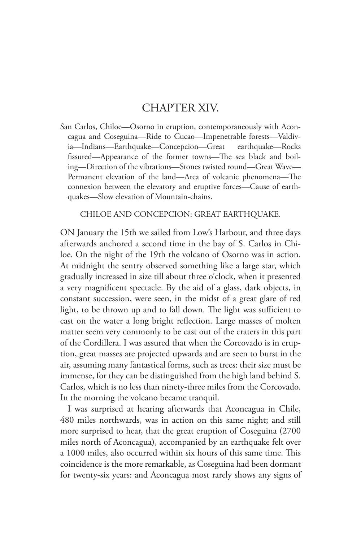## CHAPTER XIV.

San Carlos, Chiloe—Osorno in eruption, contemporaneously with Aconcagua and Coseguina—Ride to Cucao—Impenetrable forests—Valdivia—Indians—Earthquake—Concepcion—Great earthquake—Rocks fissured—Appearance of the former towns—The sea black and boiling—Direction of the vibrations—Stones twisted round—Great Wave— Permanent elevation of the land—Area of volcanic phenomena—The connexion between the elevatory and eruptive forces—Cause of earthquakes—Slow elevation of Mountain-chains.

CHILOE AND CONCEPCION: GREAT EARTHQUAKE.

ON January the 15th we sailed from Low's Harbour, and three days afterwards anchored a second time in the bay of S. Carlos in Chiloe. On the night of the 19th the volcano of Osorno was in action. At midnight the sentry observed something like a large star, which gradually increased in size till about three o'clock, when it presented a very magnificent spectacle. By the aid of a glass, dark objects, in constant succession, were seen, in the midst of a great glare of red light, to be thrown up and to fall down. The light was sufficient to cast on the water a long bright reflection. Large masses of molten matter seem very commonly to be cast out of the craters in this part of the Cordillera. I was assured that when the Corcovado is in eruption, great masses are projected upwards and are seen to burst in the air, assuming many fantastical forms, such as trees: their size must be immense, for they can be distinguished from the high land behind S. Carlos, which is no less than ninety-three miles from the Corcovado. In the morning the volcano became tranquil.

I was surprised at hearing afterwards that Aconcagua in Chile, 480 miles northwards, was in action on this same night; and still more surprised to hear, that the great eruption of Coseguina (2700 miles north of Aconcagua), accompanied by an earthquake felt over a 1000 miles, also occurred within six hours of this same time. This coincidence is the more remarkable, as Coseguina had been dormant for twenty-six years: and Aconcagua most rarely shows any signs of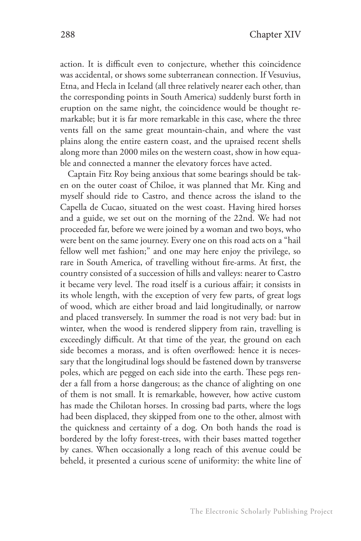action. It is difficult even to conjecture, whether this coincidence was accidental, or shows some subterranean connection. If Vesuvius, Etna, and Hecla in Iceland (all three relatively nearer each other, than the corresponding points in South America) suddenly burst forth in eruption on the same night, the coincidence would be thought remarkable; but it is far more remarkable in this case, where the three vents fall on the same great mountain-chain, and where the vast plains along the entire eastern coast, and the upraised recent shells along more than 2000 miles on the western coast, show in how equable and connected a manner the elevatory forces have acted.

Captain Fitz Roy being anxious that some bearings should be taken on the outer coast of Chiloe, it was planned that Mr. King and myself should ride to Castro, and thence across the island to the Capella de Cucao, situated on the west coast. Having hired horses and a guide, we set out on the morning of the 22nd. We had not proceeded far, before we were joined by a woman and two boys, who were bent on the same journey. Every one on this road acts on a "hail fellow well met fashion;" and one may here enjoy the privilege, so rare in South America, of travelling without fire-arms. At first, the country consisted of a succession of hills and valleys: nearer to Castro it became very level. The road itself is a curious affair; it consists in its whole length, with the exception of very few parts, of great logs of wood, which are either broad and laid longitudinally, or narrow and placed transversely. In summer the road is not very bad: but in winter, when the wood is rendered slippery from rain, travelling is exceedingly difficult. At that time of the year, the ground on each side becomes a morass, and is often overflowed: hence it is necessary that the longitudinal logs should be fastened down by transverse poles, which are pegged on each side into the earth. These pegs render a fall from a horse dangerous; as the chance of alighting on one of them is not small. It is remarkable, however, how active custom has made the Chilotan horses. In crossing bad parts, where the logs had been displaced, they skipped from one to the other, almost with the quickness and certainty of a dog. On both hands the road is bordered by the lofty forest-trees, with their bases matted together by canes. When occasionally a long reach of this avenue could be beheld, it presented a curious scene of uniformity: the white line of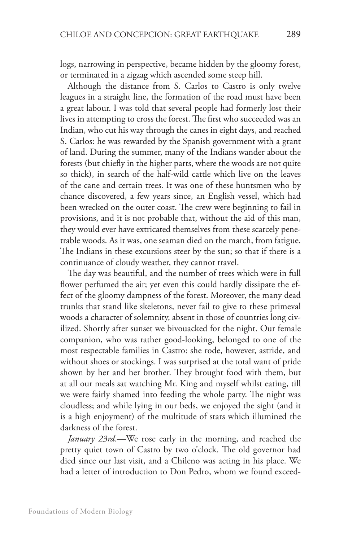logs, narrowing in perspective, became hidden by the gloomy forest, or terminated in a zigzag which ascended some steep hill.

Although the distance from S. Carlos to Castro is only twelve leagues in a straight line, the formation of the road must have been a great labour. I was told that several people had formerly lost their lives in attempting to cross the forest. The first who succeeded was an Indian, who cut his way through the canes in eight days, and reached S. Carlos: he was rewarded by the Spanish government with a grant of land. During the summer, many of the Indians wander about the forests (but chiefly in the higher parts, where the woods are not quite so thick), in search of the half-wild cattle which live on the leaves of the cane and certain trees. It was one of these huntsmen who by chance discovered, a few years since, an English vessel, which had been wrecked on the outer coast. The crew were beginning to fail in provisions, and it is not probable that, without the aid of this man, they would ever have extricated themselves from these scarcely penetrable woods. As it was, one seaman died on the march, from fatigue. The Indians in these excursions steer by the sun; so that if there is a continuance of cloudy weather, they cannot travel.

The day was beautiful, and the number of trees which were in full flower perfumed the air; yet even this could hardly dissipate the effect of the gloomy dampness of the forest. Moreover, the many dead trunks that stand like skeletons, never fail to give to these primeval woods a character of solemnity, absent in those of countries long civilized. Shortly after sunset we bivouacked for the night. Our female companion, who was rather good-looking, belonged to one of the most respectable families in Castro: she rode, however, astride, and without shoes or stockings. I was surprised at the total want of pride shown by her and her brother. They brought food with them, but at all our meals sat watching Mr. King and myself whilst eating, till we were fairly shamed into feeding the whole party. The night was cloudless; and while lying in our beds, we enjoyed the sight (and it is a high enjoyment) of the multitude of stars which illumined the darkness of the forest.

*January 23rd*.—We rose early in the morning, and reached the pretty quiet town of Castro by two o'clock. The old governor had died since our last visit, and a Chileno was acting in his place. We had a letter of introduction to Don Pedro, whom we found exceed-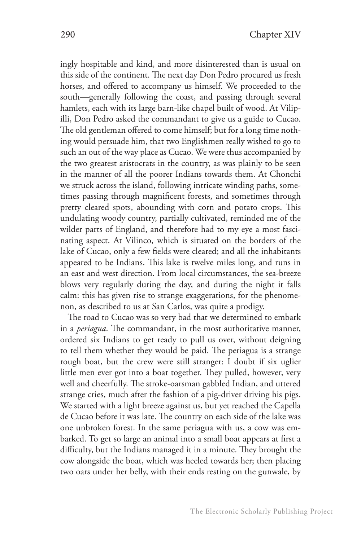ingly hospitable and kind, and more disinterested than is usual on this side of the continent. The next day Don Pedro procured us fresh horses, and offered to accompany us himself. We proceeded to the south—generally following the coast, and passing through several hamlets, each with its large barn-like chapel built of wood. At Vilipilli, Don Pedro asked the commandant to give us a guide to Cucao. The old gentleman offered to come himself; but for a long time nothing would persuade him, that two Englishmen really wished to go to such an out of the way place as Cucao. We were thus accompanied by the two greatest aristocrats in the country, as was plainly to be seen in the manner of all the poorer Indians towards them. At Chonchi we struck across the island, following intricate winding paths, sometimes passing through magnificent forests, and sometimes through pretty cleared spots, abounding with corn and potato crops. This undulating woody country, partially cultivated, reminded me of the wilder parts of England, and therefore had to my eye a most fascinating aspect. At Vilinco, which is situated on the borders of the lake of Cucao, only a few fields were cleared; and all the inhabitants appeared to be Indians. This lake is twelve miles long, and runs in an east and west direction. From local circumstances, the sea-breeze blows very regularly during the day, and during the night it falls calm: this has given rise to strange exaggerations, for the phenomenon, as described to us at San Carlos, was quite a prodigy.

The road to Cucao was so very bad that we determined to embark in a *periagua*. The commandant, in the most authoritative manner, ordered six Indians to get ready to pull us over, without deigning to tell them whether they would be paid. The periagua is a strange rough boat, but the crew were still stranger: I doubt if six uglier little men ever got into a boat together. They pulled, however, very well and cheerfully. The stroke-oarsman gabbled Indian, and uttered strange cries, much after the fashion of a pig-driver driving his pigs. We started with a light breeze against us, but yet reached the Capella de Cucao before it was late. The country on each side of the lake was one unbroken forest. In the same periagua with us, a cow was embarked. To get so large an animal into a small boat appears at first a difficulty, but the Indians managed it in a minute. They brought the cow alongside the boat, which was heeled towards her; then placing two oars under her belly, with their ends resting on the gunwale, by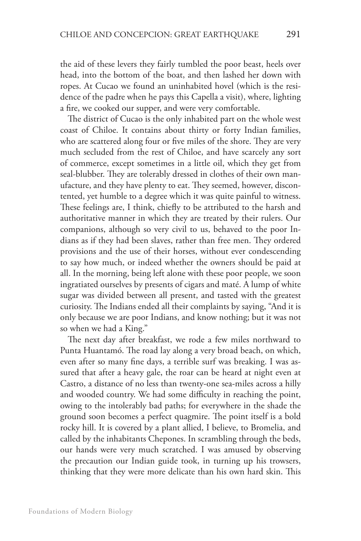the aid of these levers they fairly tumbled the poor beast, heels over head, into the bottom of the boat, and then lashed her down with ropes. At Cucao we found an uninhabited hovel (which is the residence of the padre when he pays this Capella a visit), where, lighting a fire, we cooked our supper, and were very comfortable.

The district of Cucao is the only inhabited part on the whole west coast of Chiloe. It contains about thirty or forty Indian families, who are scattered along four or five miles of the shore. They are very much secluded from the rest of Chiloe, and have scarcely any sort of commerce, except sometimes in a little oil, which they get from seal-blubber. They are tolerably dressed in clothes of their own manufacture, and they have plenty to eat. They seemed, however, discontented, yet humble to a degree which it was quite painful to witness. These feelings are, I think, chiefly to be attributed to the harsh and authoritative manner in which they are treated by their rulers. Our companions, although so very civil to us, behaved to the poor Indians as if they had been slaves, rather than free men. They ordered provisions and the use of their horses, without ever condescending to say how much, or indeed whether the owners should be paid at all. In the morning, being left alone with these poor people, we soon ingratiated ourselves by presents of cigars and maté. A lump of white sugar was divided between all present, and tasted with the greatest curiosity. The Indians ended all their complaints by saying, "And it is only because we are poor Indians, and know nothing; but it was not so when we had a King."

The next day after breakfast, we rode a few miles northward to Punta Huantamó. The road lay along a very broad beach, on which, even after so many fine days, a terrible surf was breaking. I was assured that after a heavy gale, the roar can be heard at night even at Castro, a distance of no less than twenty-one sea-miles across a hilly and wooded country. We had some difficulty in reaching the point, owing to the intolerably bad paths; for everywhere in the shade the ground soon becomes a perfect quagmire. The point itself is a bold rocky hill. It is covered by a plant allied, I believe, to Bromelia, and called by the inhabitants Chepones. In scrambling through the beds, our hands were very much scratched. I was amused by observing the precaution our Indian guide took, in turning up his trowsers, thinking that they were more delicate than his own hard skin. This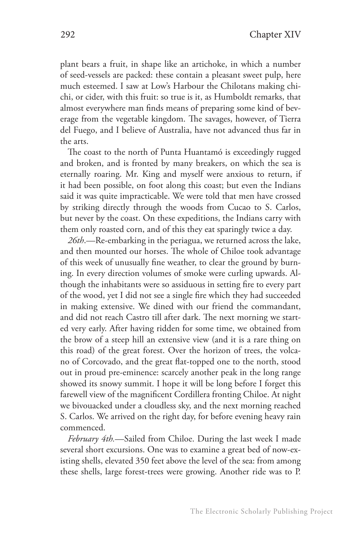plant bears a fruit, in shape like an artichoke, in which a number of seed-vessels are packed: these contain a pleasant sweet pulp, here much esteemed. I saw at Low's Harbour the Chilotans making chichi, or cider, with this fruit: so true is it, as Humboldt remarks, that almost everywhere man finds means of preparing some kind of beverage from the vegetable kingdom. The savages, however, of Tierra del Fuego, and I believe of Australia, have not advanced thus far in the arts.

The coast to the north of Punta Huantamó is exceedingly rugged and broken, and is fronted by many breakers, on which the sea is eternally roaring. Mr. King and myself were anxious to return, if it had been possible, on foot along this coast; but even the Indians said it was quite impracticable. We were told that men have crossed by striking directly through the woods from Cucao to S. Carlos, but never by the coast. On these expeditions, the Indians carry with them only roasted corn, and of this they eat sparingly twice a day.

*26th*.—Re-embarking in the periagua, we returned across the lake, and then mounted our horses. The whole of Chiloe took advantage of this week of unusually fine weather, to clear the ground by burning. In every direction volumes of smoke were curling upwards. Although the inhabitants were so assiduous in setting fire to every part of the wood, yet I did not see a single fire which they had succeeded in making extensive. We dined with our friend the commandant, and did not reach Castro till after dark. The next morning we started very early. After having ridden for some time, we obtained from the brow of a steep hill an extensive view (and it is a rare thing on this road) of the great forest. Over the horizon of trees, the volcano of Corcovado, and the great flat-topped one to the north, stood out in proud pre-eminence: scarcely another peak in the long range showed its snowy summit. I hope it will be long before I forget this farewell view of the magnificent Cordillera fronting Chiloe. At night we bivouacked under a cloudless sky, and the next morning reached S. Carlos. We arrived on the right day, for before evening heavy rain commenced.

*February 4th.*—Sailed from Chiloe. During the last week I made several short excursions. One was to examine a great bed of now-existing shells, elevated 350 feet above the level of the sea: from among these shells, large forest-trees were growing. Another ride was to P.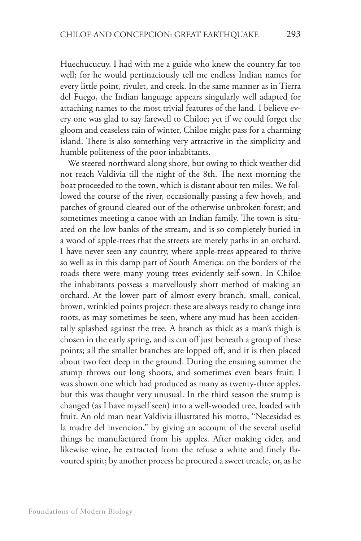Huechucucuy. I had with me a guide who knew the country far too well; for he would pertinaciously tell me endless Indian names for every little point, rivulet, and creek. In the same manner as in Tierra del Fuego, the Indian language appears singularly well adapted for attaching names to the most trivial features of the land. I believe every one was glad to say farewell to Chiloe; yet if we could forget the gloom and ceaseless rain of winter, Chiloe might pass for a charming island. There is also something very attractive in the simplicity and humble politeness of the poor inhabitants.

We steered northward along shore, but owing to thick weather did not reach Valdivia till the night of the 8th. The next morning the boat proceeded to the town, which is distant about ten miles. We followed the course of the river, occasionally passing a few hovels, and patches of ground cleared out of the otherwise unbroken forest; and sometimes meeting a canoe with an Indian family. The town is situated on the low banks of the stream, and is so completely buried in a wood of apple-trees that the streets are merely paths in an orchard. I have never seen any country, where apple-trees appeared to thrive so well as in this damp part of South America: on the borders of the roads there were many young trees evidently self-sown. In Chiloe the inhabitants possess a marvellously short method of making an orchard. At the lower part of almost every branch, small, conical, brown, wrinkled points project: these are always ready to change into roots, as may sometimes be seen, where any mud has been accidentally splashed against the tree. A branch as thick as a man's thigh is chosen in the early spring, and is cut off just beneath a group of these points; all the smaller branches are lopped off, and it is then placed about two feet deep in the ground. During the ensuing summer the stump throws out long shoots, and sometimes even bears fruit: I was shown one which had produced as many as twenty-three apples, but this was thought very unusual. In the third season the stump is changed (as I have myself seen) into a well-wooded tree, loaded with fruit. An old man near Valdivia illustrated his motto, "Necesidad es la madre del invencion," by giving an account of the several useful things he manufactured from his apples. After making cider, and likewise wine, he extracted from the refuse a white and finely flavoured spirit; by another process he procured a sweet treacle, or, as he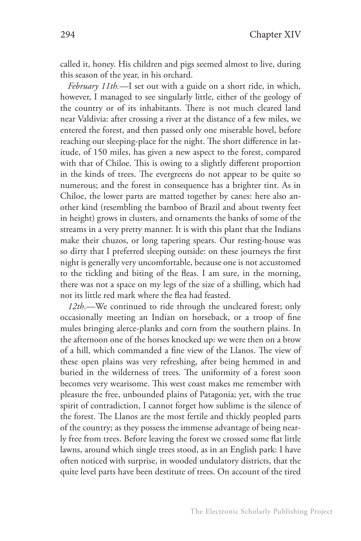called it, honey. His children and pigs seemed almost to live, during this season of the year, in his orchard.

*February 11th.*—I set out with a guide on a short ride, in which, however, I managed to see singularly little, either of the geology of the country or of its inhabitants. There is not much cleared land near Valdivia: after crossing a river at the distance of a few miles, we entered the forest, and then passed only one miserable hovel, before reaching our sleeping-place for the night. The short difference in latitude, of 150 miles, has given a new aspect to the forest, compared with that of Chiloe. This is owing to a slightly different proportion in the kinds of trees. The evergreens do not appear to be quite so numerous; and the forest in consequence has a brighter tint. As in Chiloe, the lower parts are matted together by canes: here also another kind (resembling the bamboo of Brazil and about twenty feet in height) grows in clusters, and ornaments the banks of some of the streams in a very pretty manner. It is with this plant that the Indians make their chuzos, or long tapering spears. Our resting-house was so dirty that I preferred sleeping outside: on these journeys the first night is generally very uncomfortable, because one is not accustomed to the tickling and biting of the fleas. I am sure, in the morning, there was not a space on my legs of the size of a shilling, which had not its little red mark where the flea had feasted.

*12th*.—We continued to ride through the uncleared forest; only occasionally meeting an Indian on horseback, or a troop of fine mules bringing alerce-planks and corn from the southern plains. In the afternoon one of the horses knocked up: we were then on a brow of a hill, which commanded a fine view of the Llanos. The view of these open plains was very refreshing, after being hemmed in and buried in the wilderness of trees. The uniformity of a forest soon becomes very wearisome. This west coast makes me remember with pleasure the free, unbounded plains of Patagonia; yet, with the true spirit of contradiction, I cannot forget how sublime is the silence of the forest. The Llanos are the most fertile and thickly peopled parts of the country; as they possess the immense advantage of being nearly free from trees. Before leaving the forest we crossed some flat little lawns, around which single trees stood, as in an English park: I have often noticed with surprise, in wooded undulatory districts, that the quite level parts have been destitute of trees. On account of the tired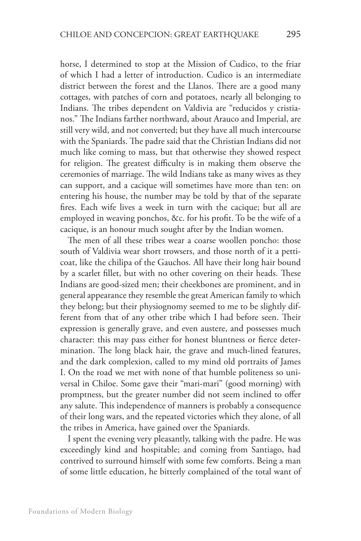horse, I determined to stop at the Mission of Cudico, to the friar of which I had a letter of introduction. Cudico is an intermediate district between the forest and the Llanos. There are a good many cottages, with patches of corn and potatoes, nearly all belonging to Indians. The tribes dependent on Valdivia are "reducidos y cristianos." The Indians farther northward, about Arauco and Imperial, are still very wild, and not converted; but they have all much intercourse with the Spaniards. The padre said that the Christian Indians did not much like coming to mass, but that otherwise they showed respect for religion. The greatest difficulty is in making them observe the ceremonies of marriage. The wild Indians take as many wives as they can support, and a cacique will sometimes have more than ten: on entering his house, the number may be told by that of the separate fires. Each wife lives a week in turn with the cacique; but all are employed in weaving ponchos, &c. for his profit. To be the wife of a cacique, is an honour much sought after by the Indian women.

The men of all these tribes wear a coarse woollen poncho: those south of Valdivia wear short trowsers, and those north of it a petticoat, like the chilipa of the Gauchos. All have their long hair bound by a scarlet fillet, but with no other covering on their heads. These Indians are good-sized men; their cheekbones are prominent, and in general appearance they resemble the great American family to which they belong; but their physiognomy seemed to me to be slightly different from that of any other tribe which I had before seen. Their expression is generally grave, and even austere, and possesses much character: this may pass either for honest bluntness or fierce determination. The long black hair, the grave and much-lined features, and the dark complexion, called to my mind old portraits of James I. On the road we met with none of that humble politeness so universal in Chiloe. Some gave their "mari-mari" (good morning) with promptness, but the greater number did not seem inclined to offer any salute. This independence of manners is probably a consequence of their long wars, and the repeated victories which they alone, of all the tribes in America, have gained over the Spaniards.

I spent the evening very pleasantly, talking with the padre. He was exceedingly kind and hospitable; and coming from Santiago, had contrived to surround himself with some few comforts. Being a man of some little education, he bitterly complained of the total want of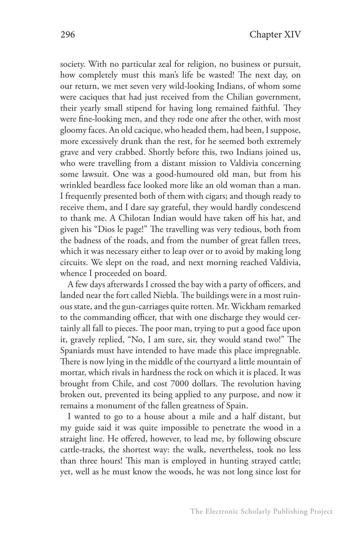society. With no particular zeal for religion, no business or pursuit, how completely must this man's life be wasted! The next day, on our return, we met seven very wild-looking Indians, of whom some were caciques that had just received from the Chilian government, their yearly small stipend for having long remained faithful. They were fine-looking men, and they rode one after the other, with most gloomy faces. An old cacique, who headed them, had been, I suppose, more excessively drunk than the rest, for he seemed both extremely grave and very crabbed. Shortly before this, two Indians joined us, who were travelling from a distant mission to Valdivia concerning some lawsuit. One was a good-humoured old man, but from his wrinkled beardless face looked more like an old woman than a man. I frequently presented both of them with cigars; and though ready to receive them, and I dare say grateful, they would hardly condescend to thank me. A Chilotan Indian would have taken off his hat, and given his "Dios le page!" The travelling was very tedious, both from the badness of the roads, and from the number of great fallen trees, which it was necessary either to leap over or to avoid by making long circuits. We slept on the road, and next morning reached Valdivia, whence I proceeded on board.

A few days afterwards I crossed the bay with a party of officers, and landed near the fort called Niebla. The buildings were in a most ruinous state, and the gun-carriages quite rotten. Mr. Wickham remarked to the commanding officer, that with one discharge they would certainly all fall to pieces. The poor man, trying to put a good face upon it, gravely replied, "No, I am sure, sir, they would stand two!" The Spaniards must have intended to have made this place impregnable. There is now lying in the middle of the courtyard a little mountain of mortar, which rivals in hardness the rock on which it is placed. It was brought from Chile, and cost 7000 dollars. The revolution having broken out, prevented its being applied to any purpose, and now it remains a monument of the fallen greatness of Spain.

I wanted to go to a house about a mile and a half distant, but my guide said it was quite impossible to penetrate the wood in a straight line. He offered, however, to lead me, by following obscure cattle-tracks, the shortest way: the walk, nevertheless, took no less than three hours! This man is employed in hunting strayed cattle; yet, well as he must know the woods, he was not long since lost for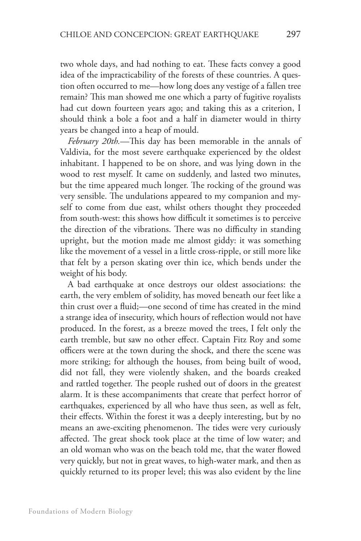two whole days, and had nothing to eat. These facts convey a good idea of the impracticability of the forests of these countries. A question often occurred to me—how long does any vestige of a fallen tree remain? This man showed me one which a party of fugitive royalists had cut down fourteen years ago; and taking this as a criterion, I should think a bole a foot and a half in diameter would in thirty years be changed into a heap of mould.

*February 20th.*—This day has been memorable in the annals of Valdivia, for the most severe earthquake experienced by the oldest inhabitant. I happened to be on shore, and was lying down in the wood to rest myself. It came on suddenly, and lasted two minutes, but the time appeared much longer. The rocking of the ground was very sensible. The undulations appeared to my companion and myself to come from due east, whilst others thought they proceeded from south-west: this shows how difficult it sometimes is to perceive the direction of the vibrations. There was no difficulty in standing upright, but the motion made me almost giddy: it was something like the movement of a vessel in a little cross-ripple, or still more like that felt by a person skating over thin ice, which bends under the weight of his body.

A bad earthquake at once destroys our oldest associations: the earth, the very emblem of solidity, has moved beneath our feet like a thin crust over a fluid;—one second of time has created in the mind a strange idea of insecurity, which hours of reflection would not have produced. In the forest, as a breeze moved the trees, I felt only the earth tremble, but saw no other effect. Captain Fitz Roy and some officers were at the town during the shock, and there the scene was more striking; for although the houses, from being built of wood, did not fall, they were violently shaken, and the boards creaked and rattled together. The people rushed out of doors in the greatest alarm. It is these accompaniments that create that perfect horror of earthquakes, experienced by all who have thus seen, as well as felt, their effects. Within the forest it was a deeply interesting, but by no means an awe-exciting phenomenon. The tides were very curiously affected. The great shock took place at the time of low water; and an old woman who was on the beach told me, that the water flowed very quickly, but not in great waves, to high-water mark, and then as quickly returned to its proper level; this was also evident by the line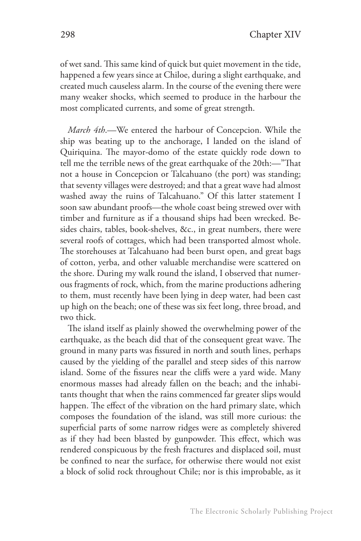of wet sand. This same kind of quick but quiet movement in the tide, happened a few years since at Chiloe, during a slight earthquake, and created much causeless alarm. In the course of the evening there were many weaker shocks, which seemed to produce in the harbour the most complicated currents, and some of great strength.

*March 4th*.—We entered the harbour of Concepcion. While the ship was beating up to the anchorage, I landed on the island of Quiriquina. The mayor-domo of the estate quickly rode down to tell me the terrible news of the great earthquake of the 20th:—"That not a house in Concepcion or Talcahuano (the port) was standing; that seventy villages were destroyed; and that a great wave had almost washed away the ruins of Talcahuano." Of this latter statement I soon saw abundant proofs—the whole coast being strewed over with timber and furniture as if a thousand ships had been wrecked. Besides chairs, tables, book-shelves, &c., in great numbers, there were several roofs of cottages, which had been transported almost whole. The storehouses at Talcahuano had been burst open, and great bags of cotton, yerba, and other valuable merchandise were scattered on the shore. During my walk round the island, I observed that numerous fragments of rock, which, from the marine productions adhering to them, must recently have been lying in deep water, had been cast up high on the beach; one of these was six feet long, three broad, and two thick.

The island itself as plainly showed the overwhelming power of the earthquake, as the beach did that of the consequent great wave. The ground in many parts was fissured in north and south lines, perhaps caused by the yielding of the parallel and steep sides of this narrow island. Some of the fissures near the cliffs were a yard wide. Many enormous masses had already fallen on the beach; and the inhabitants thought that when the rains commenced far greater slips would happen. The effect of the vibration on the hard primary slate, which composes the foundation of the island, was still more curious: the superficial parts of some narrow ridges were as completely shivered as if they had been blasted by gunpowder. This effect, which was rendered conspicuous by the fresh fractures and displaced soil, must be confined to near the surface, for otherwise there would not exist a block of solid rock throughout Chile; nor is this improbable, as it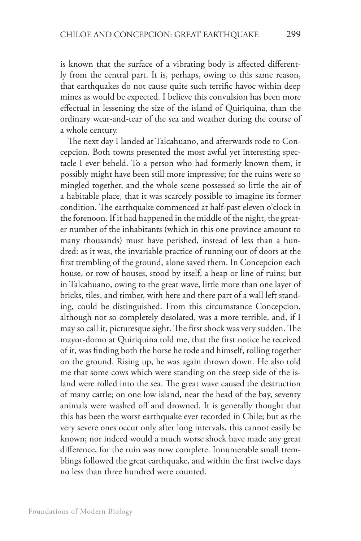is known that the surface of a vibrating body is affected differently from the central part. It is, perhaps, owing to this same reason, that earthquakes do not cause quite such terrific havoc within deep mines as would be expected. I believe this convulsion has been more effectual in lessening the size of the island of Quiriquina, than the ordinary wear-and-tear of the sea and weather during the course of a whole century.

The next day I landed at Talcahuano, and afterwards rode to Concepcion. Both towns presented the most awful yet interesting spectacle I ever beheld. To a person who had formerly known them, it possibly might have been still more impressive; for the ruins were so mingled together, and the whole scene possessed so little the air of a habitable place, that it was scarcely possible to imagine its former condition. The earthquake commenced at half-past eleven o'clock in the forenoon. If it had happened in the middle of the night, the greater number of the inhabitants (which in this one province amount to many thousands) must have perished, instead of less than a hundred: as it was, the invariable practice of running out of doors at the first trembling of the ground, alone saved them. In Concepcion each house, or row of houses, stood by itself, a heap or line of ruins; but in Talcahuano, owing to the great wave, little more than one layer of bricks, tiles, and timber, with here and there part of a wall left standing, could be distinguished. From this circumstance Concepcion, although not so completely desolated, was a more terrible, and, if I may so call it, picturesque sight. The first shock was very sudden. The mayor-domo at Quiriquina told me, that the first notice he received of it, was finding both the horse he rode and himself, rolling together on the ground. Rising up, he was again thrown down. He also told me that some cows which were standing on the steep side of the island were rolled into the sea. The great wave caused the destruction of many cattle; on one low island, near the head of the bay, seventy animals were washed off and drowned. It is generally thought that this has been the worst earthquake ever recorded in Chile; but as the very severe ones occur only after long intervals, this cannot easily be known; nor indeed would a much worse shock have made any great difference, for the ruin was now complete. Innumerable small tremblings followed the great earthquake, and within the first twelve days no less than three hundred were counted.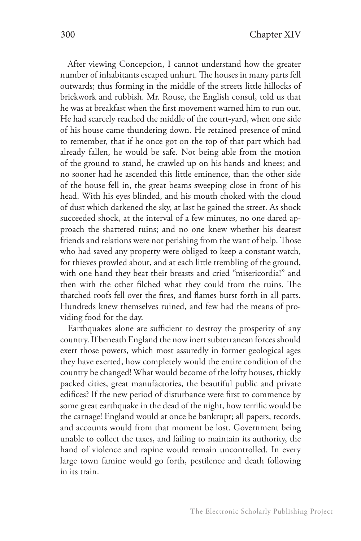After viewing Concepcion, I cannot understand how the greater number of inhabitants escaped unhurt. The houses in many parts fell outwards; thus forming in the middle of the streets little hillocks of brickwork and rubbish. Mr. Rouse, the English consul, told us that he was at breakfast when the first movement warned him to run out. He had scarcely reached the middle of the court-yard, when one side of his house came thundering down. He retained presence of mind to remember, that if he once got on the top of that part which had already fallen, he would be safe. Not being able from the motion of the ground to stand, he crawled up on his hands and knees; and no sooner had he ascended this little eminence, than the other side of the house fell in, the great beams sweeping close in front of his head. With his eyes blinded, and his mouth choked with the cloud of dust which darkened the sky, at last he gained the street. As shock succeeded shock, at the interval of a few minutes, no one dared approach the shattered ruins; and no one knew whether his dearest friends and relations were not perishing from the want of help. Those who had saved any property were obliged to keep a constant watch, for thieves prowled about, and at each little trembling of the ground, with one hand they beat their breasts and cried "misericordia!" and then with the other filched what they could from the ruins. The thatched roofs fell over the fires, and flames burst forth in all parts. Hundreds knew themselves ruined, and few had the means of providing food for the day.

Earthquakes alone are sufficient to destroy the prosperity of any country. If beneath England the now inert subterranean forces should exert those powers, which most assuredly in former geological ages they have exerted, how completely would the entire condition of the country be changed! What would become of the lofty houses, thickly packed cities, great manufactories, the beautiful public and private edifices? If the new period of disturbance were first to commence by some great earthquake in the dead of the night, how terrific would be the carnage! England would at once be bankrupt; all papers, records, and accounts would from that moment be lost. Government being unable to collect the taxes, and failing to maintain its authority, the hand of violence and rapine would remain uncontrolled. In every large town famine would go forth, pestilence and death following in its train.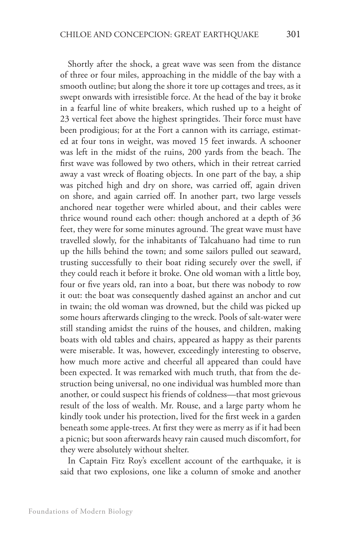Shortly after the shock, a great wave was seen from the distance of three or four miles, approaching in the middle of the bay with a smooth outline; but along the shore it tore up cottages and trees, as it swept onwards with irresistible force. At the head of the bay it broke in a fearful line of white breakers, which rushed up to a height of 23 vertical feet above the highest springtides. Their force must have been prodigious; for at the Fort a cannon with its carriage, estimated at four tons in weight, was moved 15 feet inwards. A schooner was left in the midst of the ruins, 200 yards from the beach. The first wave was followed by two others, which in their retreat carried away a vast wreck of floating objects. In one part of the bay, a ship was pitched high and dry on shore, was carried off, again driven on shore, and again carried off. In another part, two large vessels anchored near together were whirled about, and their cables were thrice wound round each other: though anchored at a depth of 36 feet, they were for some minutes aground. The great wave must have travelled slowly, for the inhabitants of Talcahuano had time to run up the hills behind the town; and some sailors pulled out seaward, trusting successfully to their boat riding securely over the swell, if they could reach it before it broke. One old woman with a little boy, four or five years old, ran into a boat, but there was nobody to row it out: the boat was consequently dashed against an anchor and cut in twain; the old woman was drowned, but the child was picked up some hours afterwards clinging to the wreck. Pools of salt-water were still standing amidst the ruins of the houses, and children, making boats with old tables and chairs, appeared as happy as their parents were miserable. It was, however, exceedingly interesting to observe, how much more active and cheerful all appeared than could have been expected. It was remarked with much truth, that from the destruction being universal, no one individual was humbled more than another, or could suspect his friends of coldness—that most grievous result of the loss of wealth. Mr. Rouse, and a large party whom he kindly took under his protection, lived for the first week in a garden beneath some apple-trees. At first they were as merry as if it had been a picnic; but soon afterwards heavy rain caused much discomfort, for they were absolutely without shelter.

In Captain Fitz Roy's excellent account of the earthquake, it is said that two explosions, one like a column of smoke and another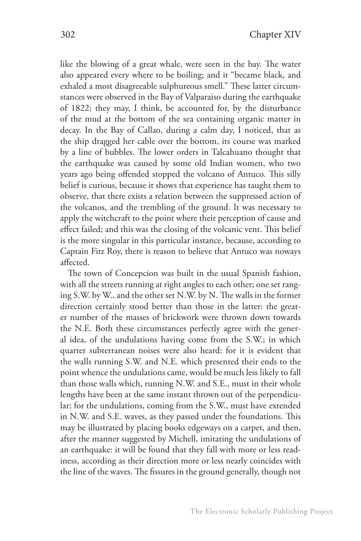like the blowing of a great whale, were seen in the bay. The water also appeared every where to be boiling; and it "became black, and exhaled a most disagreeable sulphureous smell." These latter circumstances were observed in the Bay of Valparaiso during the earthquake of 1822; they may, I think, be accounted for, by the disturbance of the mud at the bottom of the sea containing organic matter in decay. In the Bay of Callao, during a calm day, I noticed, that as the ship dragged her cable over the bottom, its course was marked by a line of bubbles. The lower orders in Talcahuano thought that the earthquake was caused by some old Indian women, who two years ago being offended stopped the volcano of Antuco. This silly belief is curious, because it shows that experience has taught them to observe, that there exists a relation between the suppressed action of the volcanos, and the trembling of the ground. It was necessary to apply the witchcraft to the point where their perception of cause and effect failed; and this was the closing of the volcanic vent. This belief is the more singular in this particular instance, because, according to Captain Fitz Roy, there is reason to believe that Antuco was noways affected.

The town of Concepcion was built in the usual Spanish fashion, with all the streets running at right angles to each other; one set ranging S.W. by W., and the other set N.W. by N. The walls in the former direction certainly stood better than those in the latter: the greater number of the masses of brickwork were thrown down towards the N.E. Both these circumstances perfectly agree with the general idea, of the undulations having come from the S.W.; in which quarter subterranean noises were also heard: for it is evident that the walls running S.W. and N.E. which presented their ends to the point whence the undulations came, would be much less likely to fall than those walls which, running N.W. and S.E., must in their whole lengths have been at the same instant thrown out of the perpendicular; for the undulations, coming from the S.W., must have extended in N.W. and S.E. waves, as they passed under the foundations. This may be illustrated by placing books edgeways on a carpet, and then, after the manner suggested by Michell, imitating the undulations of an earthquake: it will be found that they fall with more or less readiness, according as their direction more or less nearly coincides with the line of the waves. The fissures in the ground generally, though not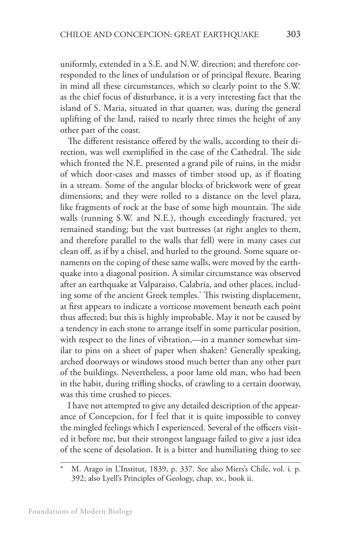uniformly, extended in a S.E. and N.W. direction; and therefore corresponded to the lines of undulation or of principal flexure. Bearing in mind all these circumstances, which so clearly point to the S.W. as the chief focus of disturbance, it is a very interesting fact that the island of S. Maria, situated in that quarter, was, during the general uplifting of the land, raised to nearly three times the height of any other part of the coast.

The different resistance offered by the walls, according to their direction, was well exemplified in the case of the Cathedral. The side which fronted the N.E. presented a grand pile of ruins, in the midst of which door-cases and masses of timber stood up, as if floating in a stream. Some of the angular blocks of brickwork were of great dimensions; and they were rolled to a distance on the level plaza, like fragments of rock at the base of some high mountain. The side walls (running S.W. and N.E.), though exceedingly fractured, yet remained standing; but the vast buttresses (at right angles to them, and therefore parallel to the walls that fell) were in many cases cut clean off, as if by a chisel, and hurled to the ground. Some square ornaments on the coping of these same walls, were moved by the earthquake into a diagonal position. A similar circumstance was observed after an earthquake at Valparaiso, Calabria, and other places, including some of the ancient Greek temples.\* This twisting displacement, at first appears to indicate a vorticose movement beneath each point thus affected; but this is highly improbable. May it not be caused by a tendency in each stone to arrange itself in some particular position, with respect to the lines of vibration,—in a manner somewhat similar to pins on a sheet of paper when shaken? Generally speaking, arched doorways or windows stood much better than any other part of the buildings. Nevertheless, a poor lame old man, who had been in the habit, during trifling shocks, of crawling to a certain doorway, was this time crushed to pieces.

I have not attempted to give any detailed description of the appearance of Concepcion, for I feel that it is quite impossible to convey the mingled feelings which I experienced. Several of the officers visited it before me, but their strongest language failed to give a just idea of the scene of desolation. It is a bitter and humiliating thing to see

M. Arago in L'Institut, 1839, p. 337. See also Miers's Chile, vol. i. p. 392; also Lyell's Principles of Geology, chap. xv., book ii.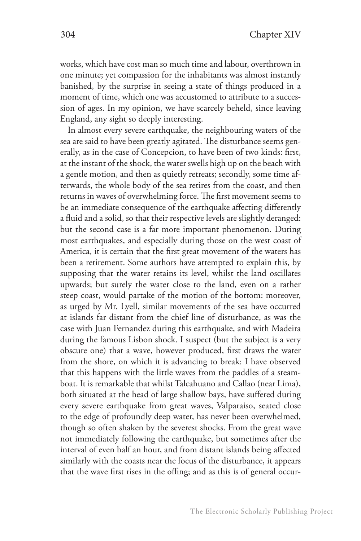works, which have cost man so much time and labour, overthrown in one minute; yet compassion for the inhabitants was almost instantly banished, by the surprise in seeing a state of things produced in a moment of time, which one was accustomed to attribute to a succession of ages. In my opinion, we have scarcely beheld, since leaving England, any sight so deeply interesting.

In almost every severe earthquake, the neighbouring waters of the sea are said to have been greatly agitated. The disturbance seems generally, as in the case of Concepcion, to have been of two kinds: first, at the instant of the shock, the water swells high up on the beach with a gentle motion, and then as quietly retreats; secondly, some time afterwards, the whole body of the sea retires from the coast, and then returns in waves of overwhelming force. The first movement seems to be an immediate consequence of the earthquake affecting differently a fluid and a solid, so that their respective levels are slightly deranged: but the second case is a far more important phenomenon. During most earthquakes, and especially during those on the west coast of America, it is certain that the first great movement of the waters has been a retirement. Some authors have attempted to explain this, by supposing that the water retains its level, whilst the land oscillates upwards; but surely the water close to the land, even on a rather steep coast, would partake of the motion of the bottom: moreover, as urged by Mr. Lyell, similar movements of the sea have occurred at islands far distant from the chief line of disturbance, as was the case with Juan Fernandez during this earthquake, and with Madeira during the famous Lisbon shock. I suspect (but the subject is a very obscure one) that a wave, however produced, first draws the water from the shore, on which it is advancing to break: I have observed that this happens with the little waves from the paddles of a steamboat. It is remarkable that whilst Talcahuano and Callao (near Lima), both situated at the head of large shallow bays, have suffered during every severe earthquake from great waves, Valparaiso, seated close to the edge of profoundly deep water, has never been overwhelmed, though so often shaken by the severest shocks. From the great wave not immediately following the earthquake, but sometimes after the interval of even half an hour, and from distant islands being affected similarly with the coasts near the focus of the disturbance, it appears that the wave first rises in the offing; and as this is of general occur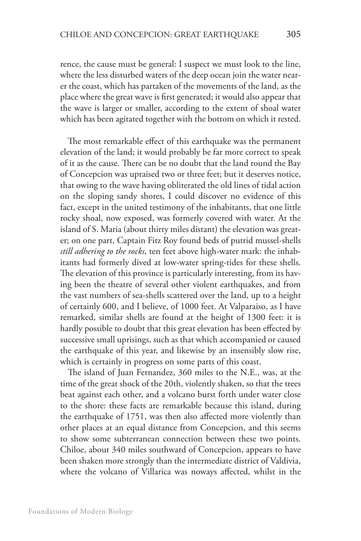rence, the cause must be general: I suspect we must look to the line, where the less disturbed waters of the deep ocean join the water nearer the coast, which has partaken of the movements of the land, as the place where the great wave is first generated; it would also appear that the wave is larger or smaller, according to the extent of shoal water which has been agitated together with the bottom on which it rested.

The most remarkable effect of this earthquake was the permanent elevation of the land; it would probably be far more correct to speak of it as the cause. There can be no doubt that the land round the Bay of Concepcion was upraised two or three feet; but it deserves notice, that owing to the wave having obliterated the old lines of tidal action on the sloping sandy shores, I could discover no evidence of this fact, except in the united testimony of the inhabitants, that one little rocky shoal, now exposed, was formerly covered with water. At the island of S. Maria (about thirty miles distant) the elevation was greater; on one part, Captain Fitz Roy found beds of putrid mussel-shells *still adhering to the rocks*, ten feet above high-water mark: the inhabitants had formerly dived at low-water spring-tides for these shells. The elevation of this province is particularly interesting, from its having been the theatre of several other violent earthquakes, and from the vast numbers of sea-shells scattered over the land, up to a height of certainly 600, and I believe, of 1000 feet. At Valparaiso, as I have remarked, similar shells are found at the height of 1300 feet: it is hardly possible to doubt that this great elevation has been effected by successive small uprisings, such as that which accompanied or caused the earthquake of this year, and likewise by an insensibly slow rise, which is certainly in progress on some parts of this coast.

The island of Juan Fernandez, 360 miles to the N.E., was, at the time of the great shock of the 20th, violently shaken, so that the trees beat against each other, and a volcano burst forth under water close to the shore: these facts are remarkable because this island, during the earthquake of 1751, was then also affected more violently than other places at an equal distance from Concepcion, and this seems to show some subterranean connection between these two points. Chiloe, about 340 miles southward of Concepcion, appears to have been shaken more strongly than the intermediate district of Valdivia, where the volcano of Villarica was noways affected, whilst in the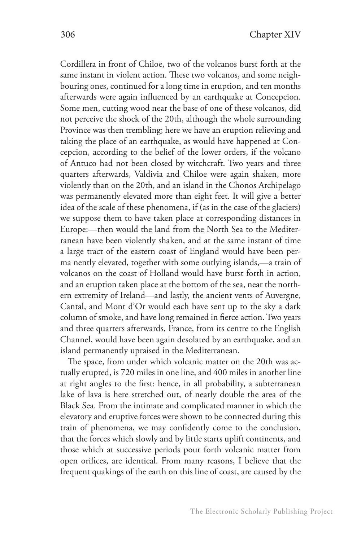Cordillera in front of Chiloe, two of the volcanos burst forth at the same instant in violent action. These two volcanos, and some neighbouring ones, continued for a long time in eruption, and ten months afterwards were again influenced by an earthquake at Concepcion. Some men, cutting wood near the base of one of these volcanos, did not perceive the shock of the 20th, although the whole surrounding Province was then trembling; here we have an eruption relieving and taking the place of an earthquake, as would have happened at Concepcion, according to the belief of the lower orders, if the volcano of Antuco had not been closed by witchcraft. Two years and three quarters afterwards, Valdivia and Chiloe were again shaken, more violently than on the 20th, and an island in the Chonos Archipelago was permanently elevated more than eight feet. It will give a better idea of the scale of these phenomena, if (as in the case of the glaciers) we suppose them to have taken place at corresponding distances in Europe:—then would the land from the North Sea to the Mediterranean have been violently shaken, and at the same instant of time a large tract of the eastern coast of England would have been perma nently elevated, together with some outlying islands,—a train of volcanos on the coast of Holland would have burst forth in action, and an eruption taken place at the bottom of the sea, near the northern extremity of Ireland—and lastly, the ancient vents of Auvergne, Cantal, and Mont d'Or would each have sent up to the sky a dark column of smoke, and have long remained in fierce action. Two years and three quarters afterwards, France, from its centre to the English Channel, would have been again desolated by an earthquake, and an island permanently upraised in the Mediterranean.

The space, from under which volcanic matter on the 20th was actually erupted, is 720 miles in one line, and 400 miles in another line at right angles to the first: hence, in all probability, a subterranean lake of lava is here stretched out, of nearly double the area of the Black Sea. From the intimate and complicated manner in which the elevatory and eruptive forces were shown to be connected during this train of phenomena, we may confidently come to the conclusion, that the forces which slowly and by little starts uplift continents, and those which at successive periods pour forth volcanic matter from open orifices, are identical. From many reasons, I believe that the frequent quakings of the earth on this line of coast, are caused by the